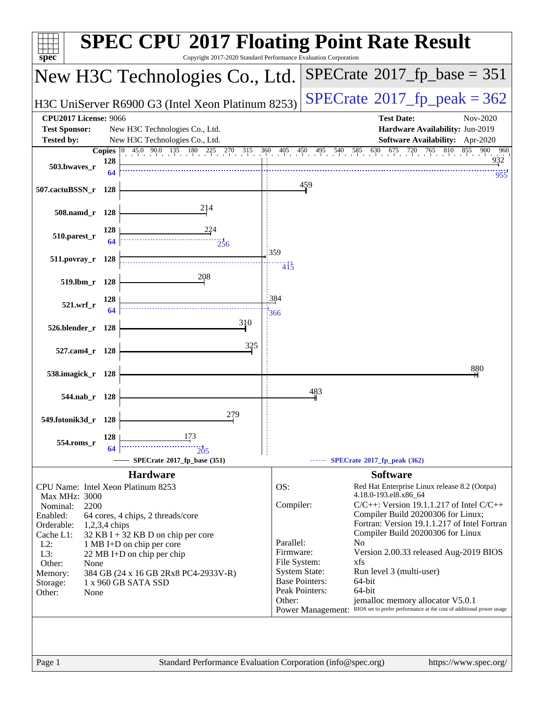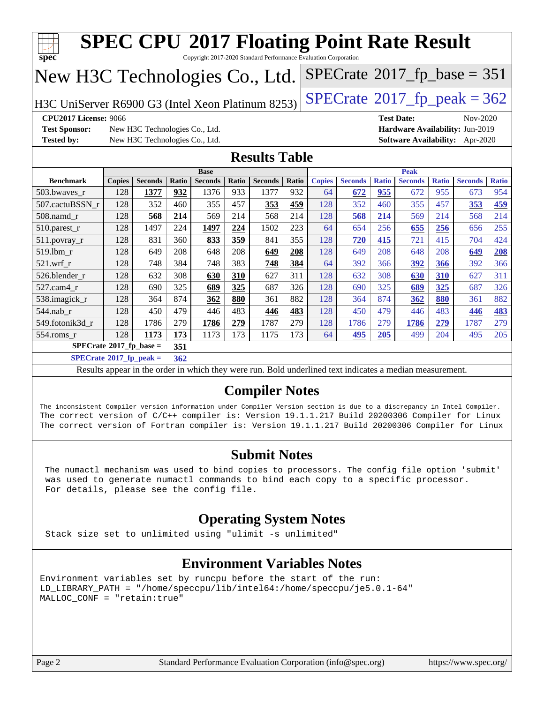| $spec^*$                                                                                     |                                                                                                                                                                                                                                                                                                                               |                                |       | <b>SPEC CPU®2017 Floating Point Rate Result</b><br>Copyright 2017-2020 Standard Performance Evaluation Corporation |       |                      |       |               |                                              |              |                   |              |                                 |              |
|----------------------------------------------------------------------------------------------|-------------------------------------------------------------------------------------------------------------------------------------------------------------------------------------------------------------------------------------------------------------------------------------------------------------------------------|--------------------------------|-------|--------------------------------------------------------------------------------------------------------------------|-------|----------------------|-------|---------------|----------------------------------------------|--------------|-------------------|--------------|---------------------------------|--------------|
| New H3C Technologies Co., Ltd.                                                               |                                                                                                                                                                                                                                                                                                                               |                                |       |                                                                                                                    |       |                      |       |               | $SPECrate^{\circledcirc}2017_fp\_base = 351$ |              |                   |              |                                 |              |
| H3C UniServer R6900 G3 (Intel Xeon Platinum 8253)                                            |                                                                                                                                                                                                                                                                                                                               |                                |       |                                                                                                                    |       |                      |       |               | $SPECTate@2017_fp\_peak = 362$               |              |                   |              |                                 |              |
| <b>CPU2017 License: 9066</b>                                                                 |                                                                                                                                                                                                                                                                                                                               |                                |       |                                                                                                                    |       |                      |       |               |                                              |              | <b>Test Date:</b> |              | Nov-2020                        |              |
| <b>Test Sponsor:</b>                                                                         |                                                                                                                                                                                                                                                                                                                               | New H3C Technologies Co., Ltd. |       |                                                                                                                    |       |                      |       |               |                                              |              |                   |              | Hardware Availability: Jun-2019 |              |
| <b>Tested by:</b>                                                                            |                                                                                                                                                                                                                                                                                                                               | New H3C Technologies Co., Ltd. |       |                                                                                                                    |       |                      |       |               |                                              |              |                   |              | Software Availability: Apr-2020 |              |
|                                                                                              |                                                                                                                                                                                                                                                                                                                               |                                |       |                                                                                                                    |       | <b>Results Table</b> |       |               |                                              |              |                   |              |                                 |              |
|                                                                                              |                                                                                                                                                                                                                                                                                                                               |                                |       | <b>Base</b>                                                                                                        |       |                      |       |               |                                              |              | <b>Peak</b>       |              |                                 |              |
| <b>Benchmark</b>                                                                             | <b>Copies</b>                                                                                                                                                                                                                                                                                                                 | <b>Seconds</b>                 | Ratio | <b>Seconds</b>                                                                                                     | Ratio | <b>Seconds</b>       | Ratio | <b>Copies</b> | <b>Seconds</b>                               | <b>Ratio</b> | <b>Seconds</b>    | <b>Ratio</b> | <b>Seconds</b>                  | <b>Ratio</b> |
| 503.bwaves r                                                                                 | 128                                                                                                                                                                                                                                                                                                                           | 1377                           | 932   | 1376                                                                                                               | 933   | 1377                 | 932   | 64            | 672                                          | 955          | 672               | 955          | 673                             | 954          |
| 507.cactuBSSN_r                                                                              | 128                                                                                                                                                                                                                                                                                                                           | 352                            | 460   | 355                                                                                                                | 457   | 353                  | 459   | 128           | 352                                          | 460          | 355               | 457          | 353                             | 459          |
| 508.namd r                                                                                   | 128                                                                                                                                                                                                                                                                                                                           | 568                            | 214   | 569                                                                                                                | 214   | 568                  | 214   | 128           | 568                                          | 214          | 569               | 214          | 568                             | 214          |
| 510.parest_r                                                                                 | 128                                                                                                                                                                                                                                                                                                                           | 1497                           | 224   | 1497                                                                                                               | 224   | 1502                 | 223   | 64            | 654                                          | 256          | 655               | 256          | 656                             | 255          |
| 511.povray_r                                                                                 | 128                                                                                                                                                                                                                                                                                                                           | 831                            | 360   | 833                                                                                                                | 359   | 841                  | 355   | 128           | 720                                          | 415          | 721               | 415          | 704                             | 424          |
| 519.1bm r                                                                                    | 128                                                                                                                                                                                                                                                                                                                           | 649                            | 208   | 648                                                                                                                | 208   | 649                  | 208   | 128           | 649                                          | 208          | 648               | 208          | 649                             | 208          |
| 521.wrf r                                                                                    | 128                                                                                                                                                                                                                                                                                                                           | 748                            | 384   | 748                                                                                                                | 383   | 748                  | 384   | 64            | 392                                          | 366          | 392               | 366          | 392                             | 366          |
| 526.blender_r                                                                                | 128                                                                                                                                                                                                                                                                                                                           | 632                            | 308   | 630                                                                                                                | 310   | 627                  | 311   | 128           | 632                                          | 308          | 630               | 310          | 627                             | 311          |
| 527.cam4 r                                                                                   | 128                                                                                                                                                                                                                                                                                                                           | 690                            | 325   | 689                                                                                                                | 325   | 687                  | 326   | 128           | 690                                          | 325          | 689               | 325          | 687                             | 326          |
| 538.imagick_r                                                                                | 128                                                                                                                                                                                                                                                                                                                           | 364                            | 874   | 362                                                                                                                | 880   | 361                  | 882   | 128           | 364                                          | 874          | 362               | 880          | 361                             | 882          |
| 544.nab_r                                                                                    | 128                                                                                                                                                                                                                                                                                                                           | 450                            | 479   | 446                                                                                                                | 483   | 446                  | 483   | 128           | 450                                          | 479          | 446               | 483          | <u>446</u>                      | 483          |
| 549.fotonik3d_r                                                                              | 128                                                                                                                                                                                                                                                                                                                           | 1786                           | 279   | 1786                                                                                                               | 279   | 1787                 | 279   | 128           | 1786                                         | 279          | 1786              | 279          | 1787                            | 279          |
| 554.roms_r                                                                                   | 128                                                                                                                                                                                                                                                                                                                           | 1173                           | 173   | 1173                                                                                                               | 173   | 1175                 | 173   | 64            | 495                                          | 205          | 499               | 204          | 495                             | 205          |
| $SPECrate^{\otimes}2017$ _fp_base =                                                          |                                                                                                                                                                                                                                                                                                                               |                                | 351   |                                                                                                                    |       |                      |       |               |                                              |              |                   |              |                                 |              |
| $SPECrate^{\circ}2017$ _fp_peak =                                                            |                                                                                                                                                                                                                                                                                                                               |                                | 362   |                                                                                                                    |       |                      |       |               |                                              |              |                   |              |                                 |              |
|                                                                                              |                                                                                                                                                                                                                                                                                                                               |                                |       | Results appear in the order in which they were run. Bold underlined text indicates a median measurement.           |       |                      |       |               |                                              |              |                   |              |                                 |              |
| <b>Compiler Notes</b>                                                                        |                                                                                                                                                                                                                                                                                                                               |                                |       |                                                                                                                    |       |                      |       |               |                                              |              |                   |              |                                 |              |
|                                                                                              | The inconsistent Compiler version information under Compiler Version section is due to a discrepancy in Intel Compiler.<br>The correct version of C/C++ compiler is: Version 19.1.1.217 Build 20200306 Compiler for Linux<br>The correct version of Fortran compiler is: Version 19.1.1.217 Build 20200306 Compiler for Linux |                                |       |                                                                                                                    |       |                      |       |               |                                              |              |                   |              |                                 |              |
|                                                                                              |                                                                                                                                                                                                                                                                                                                               |                                |       |                                                                                                                    |       | <b>Submit Notes</b>  |       |               |                                              |              |                   |              |                                 |              |
| The numactl mechanism was used to bind copies to processors. The config file option 'submit' |                                                                                                                                                                                                                                                                                                                               |                                |       |                                                                                                                    |       |                      |       |               |                                              |              |                   |              |                                 |              |

 was used to generate numactl commands to bind each copy to a specific processor. For details, please see the config file.

## **[Operating System Notes](http://www.spec.org/auto/cpu2017/Docs/result-fields.html#OperatingSystemNotes)**

Stack size set to unlimited using "ulimit -s unlimited"

## **[Environment Variables Notes](http://www.spec.org/auto/cpu2017/Docs/result-fields.html#EnvironmentVariablesNotes)**

Environment variables set by runcpu before the start of the run: LD\_LIBRARY\_PATH = "/home/speccpu/lib/intel64:/home/speccpu/je5.0.1-64" MALLOC\_CONF = "retain:true"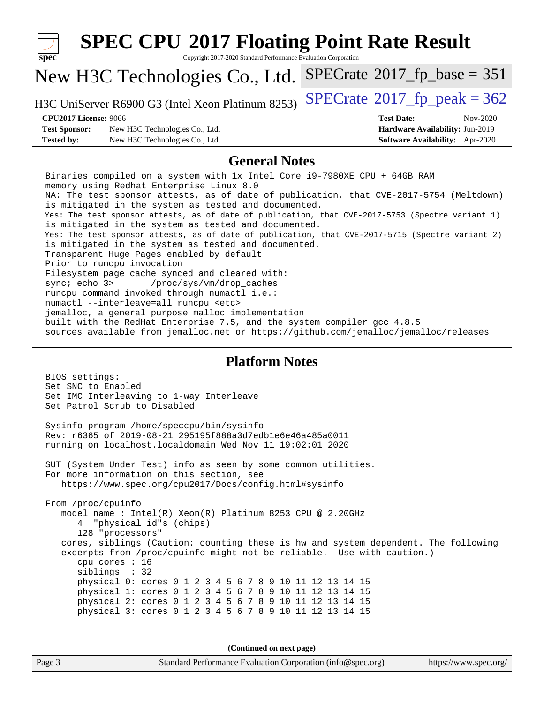| <b>SPEC CPU®2017 Floating Point Rate Result</b><br>Copyright 2017-2020 Standard Performance Evaluation Corporation<br>$spec^*$                                                                                                                                                                                                                                                                                                                                                                                                                                                                                                                                                                                                                                                                                                                                                                                                                                                                                                                                                                      |                                                                                                     |  |  |  |  |  |
|-----------------------------------------------------------------------------------------------------------------------------------------------------------------------------------------------------------------------------------------------------------------------------------------------------------------------------------------------------------------------------------------------------------------------------------------------------------------------------------------------------------------------------------------------------------------------------------------------------------------------------------------------------------------------------------------------------------------------------------------------------------------------------------------------------------------------------------------------------------------------------------------------------------------------------------------------------------------------------------------------------------------------------------------------------------------------------------------------------|-----------------------------------------------------------------------------------------------------|--|--|--|--|--|
| New H3C Technologies Co., Ltd.                                                                                                                                                                                                                                                                                                                                                                                                                                                                                                                                                                                                                                                                                                                                                                                                                                                                                                                                                                                                                                                                      | $SPECrate^{\circ}2017$ _fp_base = 351                                                               |  |  |  |  |  |
| H3C UniServer R6900 G3 (Intel Xeon Platinum 8253)                                                                                                                                                                                                                                                                                                                                                                                                                                                                                                                                                                                                                                                                                                                                                                                                                                                                                                                                                                                                                                                   | $SPECTate$ <sup>®</sup> 2017_fp_peak = 362                                                          |  |  |  |  |  |
| <b>CPU2017 License: 9066</b><br><b>Test Sponsor:</b><br>New H3C Technologies Co., Ltd.<br><b>Tested by:</b><br>New H3C Technologies Co., Ltd.                                                                                                                                                                                                                                                                                                                                                                                                                                                                                                                                                                                                                                                                                                                                                                                                                                                                                                                                                       | <b>Test Date:</b><br>Nov-2020<br>Hardware Availability: Jun-2019<br>Software Availability: Apr-2020 |  |  |  |  |  |
| <b>General Notes</b>                                                                                                                                                                                                                                                                                                                                                                                                                                                                                                                                                                                                                                                                                                                                                                                                                                                                                                                                                                                                                                                                                |                                                                                                     |  |  |  |  |  |
| Binaries compiled on a system with 1x Intel Core i9-7980XE CPU + 64GB RAM<br>memory using Redhat Enterprise Linux 8.0<br>NA: The test sponsor attests, as of date of publication, that CVE-2017-5754 (Meltdown)<br>is mitigated in the system as tested and documented.<br>Yes: The test sponsor attests, as of date of publication, that CVE-2017-5753 (Spectre variant 1)<br>is mitigated in the system as tested and documented.<br>Yes: The test sponsor attests, as of date of publication, that CVE-2017-5715 (Spectre variant 2)<br>is mitigated in the system as tested and documented.<br>Transparent Huge Pages enabled by default<br>Prior to runcpu invocation<br>Filesystem page cache synced and cleared with:<br>sync; echo 3><br>/proc/sys/vm/drop_caches<br>runcpu command invoked through numactl i.e.:<br>numactl --interleave=all runcpu <etc><br/>jemalloc, a general purpose malloc implementation<br/>built with the RedHat Enterprise 7.5, and the system compiler gcc 4.8.5<br/>sources available from jemalloc.net or https://github.com/jemalloc/jemalloc/releases</etc> |                                                                                                     |  |  |  |  |  |
| <b>Platform Notes</b>                                                                                                                                                                                                                                                                                                                                                                                                                                                                                                                                                                                                                                                                                                                                                                                                                                                                                                                                                                                                                                                                               |                                                                                                     |  |  |  |  |  |
| BIOS settings:<br>Set SNC to Enabled<br>Set IMC Interleaving to 1-way Interleave<br>Set Patrol Scrub to Disabled                                                                                                                                                                                                                                                                                                                                                                                                                                                                                                                                                                                                                                                                                                                                                                                                                                                                                                                                                                                    |                                                                                                     |  |  |  |  |  |
| Sysinfo program /home/speccpu/bin/sysinfo<br>Rev: r6365 of 2019-08-21 295195f888a3d7edble6e46a485a0011<br>running on localhost.localdomain Wed Nov 11 19:02:01 2020                                                                                                                                                                                                                                                                                                                                                                                                                                                                                                                                                                                                                                                                                                                                                                                                                                                                                                                                 |                                                                                                     |  |  |  |  |  |
| SUT (System Under Test) info as seen by some common utilities.<br>For more information on this section, see<br>https://www.spec.org/cpu2017/Docs/config.html#sysinfo                                                                                                                                                                                                                                                                                                                                                                                                                                                                                                                                                                                                                                                                                                                                                                                                                                                                                                                                |                                                                                                     |  |  |  |  |  |
| From /proc/cpuinfo<br>model name: $Intel(R)$ Xeon $(R)$ Platinum 8253 CPU @ 2.20GHz<br>"physical id"s (chips)<br>128 "processors"<br>cores, siblings (Caution: counting these is hw and system dependent. The following<br>excerpts from /proc/cpuinfo might not be reliable. Use with caution.)<br>cpu cores : 16<br>siblings : 32<br>physical 0: cores 0 1 2 3 4 5 6 7 8 9 10 11 12 13 14 15<br>physical 1: cores 0 1 2 3 4 5 6 7 8 9 10 11 12 13 14 15<br>physical 2: cores 0 1 2 3 4 5 6 7 8 9 10 11 12 13 14 15<br>physical 3: cores 0 1 2 3 4 5 6 7 8 9 10 11 12 13 14 15                                                                                                                                                                                                                                                                                                                                                                                                                                                                                                                     |                                                                                                     |  |  |  |  |  |
| (Continued on next page)                                                                                                                                                                                                                                                                                                                                                                                                                                                                                                                                                                                                                                                                                                                                                                                                                                                                                                                                                                                                                                                                            |                                                                                                     |  |  |  |  |  |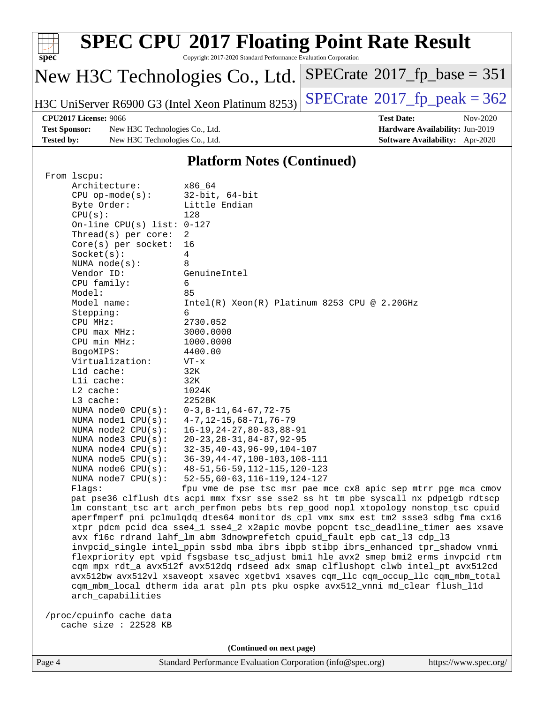| Spec              |                       | <b>SPEC CPU®2017 Floating Point Rate Result</b><br>Copyright 2017-2020 Standard Performance Evaluation Corporation |                                            |          |
|-------------------|-----------------------|--------------------------------------------------------------------------------------------------------------------|--------------------------------------------|----------|
|                   |                       | New H3C Technologies Co., Ltd.                                                                                     | $SPECrate$ <sup>®</sup> 2017_fp_base = 351 |          |
|                   |                       | H3C UniServer R6900 G3 (Intel Xeon Platinum 8253)                                                                  | $SPECrate^{\circ}2017$ _fp_peak = 362      |          |
|                   | CPU2017 License: 9066 |                                                                                                                    | <b>Test Date:</b>                          | Nov-2020 |
|                   | <b>Test Sponsor:</b>  | New H3C Technologies Co., Ltd.                                                                                     | Hardware Availability: Jun-2019            |          |
| <b>Tested by:</b> |                       | New H3C Technologies Co., Ltd.                                                                                     | <b>Software Availability:</b> Apr-2020     |          |
|                   |                       |                                                                                                                    |                                            |          |

## **[Platform Notes \(Continued\)](http://www.spec.org/auto/cpu2017/Docs/result-fields.html#PlatformNotes)**

| From 1scpu:                  |                                                                                      |
|------------------------------|--------------------------------------------------------------------------------------|
| Architecture:                | x86 64                                                                               |
| $CPU$ op-mode( $s$ ):        | $32$ -bit, $64$ -bit                                                                 |
| Byte Order:                  | Little Endian                                                                        |
| CPU(s):                      | 128                                                                                  |
| On-line CPU(s) list: $0-127$ |                                                                                      |
| Thread( $s$ ) per core:      | 2                                                                                    |
| $Core(s)$ per socket:        | 16                                                                                   |
| Socket(s):                   | 4                                                                                    |
| NUMA $node(s)$ :             | 8                                                                                    |
| Vendor ID:                   | GenuineIntel                                                                         |
| CPU family:                  | 6                                                                                    |
| Model:                       | 85                                                                                   |
| Model name:                  | $Intel(R)$ Xeon $(R)$ Platinum 8253 CPU @ 2.20GHz                                    |
| Stepping:                    | 6                                                                                    |
| CPU MHz:                     | 2730.052                                                                             |
| CPU max MHz:                 | 3000.0000                                                                            |
| CPU min MHz:                 | 1000.0000                                                                            |
| BogoMIPS:                    | 4400.00                                                                              |
| Virtualization:              | $VT - x$                                                                             |
| L1d cache:                   | 32K                                                                                  |
| Lli cache:                   | 32K                                                                                  |
| L2 cache:                    | 1024K                                                                                |
| L3 cache:                    | 22528K                                                                               |
| NUMA node0 CPU(s):           | $0-3, 8-11, 64-67, 72-75$                                                            |
| NUMA nodel $CPU(s):$         | $4 - 7, 12 - 15, 68 - 71, 76 - 79$                                                   |
| NUMA $node2$ $CPU(s):$       | $16 - 19, 24 - 27, 80 - 83, 88 - 91$                                                 |
| NUMA $node3$ $CPU(s)$ :      | $20 - 23, 28 - 31, 84 - 87, 92 - 95$                                                 |
| NUMA $node4$ $CPU(s):$       | $32 - 35, 40 - 43, 96 - 99, 104 - 107$                                               |
| NUMA $node5$ $CPU(s):$       | $36-39, 44-47, 100-103, 108-111$                                                     |
| NUMA node6 CPU(s):           | 48-51, 56-59, 112-115, 120-123                                                       |
| NUMA node7 CPU(s):           | $52 - 55, 60 - 63, 116 - 119, 124 - 127$                                             |
| Flags:                       | fpu vme de pse tsc msr pae mce cx8 apic sep mtrr pge mca cmov                        |
|                              | pat pse36 clflush dts acpi mmx fxsr sse sse2 ss ht tm pbe syscall nx pdpelgb rdtscp  |
|                              | lm constant_tsc art arch_perfmon pebs bts rep_good nopl xtopology nonstop_tsc cpuid  |
|                              | aperfmperf pni pclmulqdq dtes64 monitor ds_cpl vmx smx est tm2 ssse3 sdbg fma cx16   |
|                              | xtpr pdcm pcid dca sse4_1 sse4_2 x2apic movbe popcnt tsc_deadline_timer aes xsave    |
|                              | avx f16c rdrand lahf_lm abm 3dnowprefetch cpuid_fault epb cat_13 cdp_13              |
|                              | invpcid_single intel_ppin ssbd mba ibrs ibpb stibp ibrs_enhanced tpr_shadow vnmi     |
|                              | flexpriority ept vpid fsgsbase tsc_adjust bmil hle avx2 smep bmi2 erms invpcid rtm   |
|                              | cqm mpx rdt_a avx512f avx512dq rdseed adx smap clflushopt clwb intel_pt avx512cd     |
|                              | avx512bw avx512vl xsaveopt xsavec xgetbvl xsaves cqm_llc cqm_occup_llc cqm_mbm_total |
|                              | cqm_mbm_local dtherm ida arat pln pts pku ospke avx512_vnni md_clear flush_l1d       |
| arch_capabilities            |                                                                                      |
|                              |                                                                                      |
| /proc/cpuinfo cache data     |                                                                                      |
| cache size : 22528 KB        |                                                                                      |
|                              |                                                                                      |

**(Continued on next page)**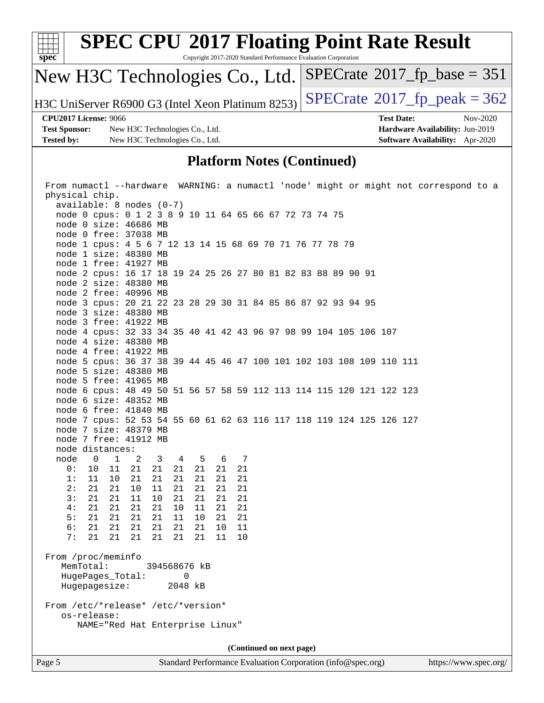

| From numactl --hardware WARNING: a numactl 'node' might or might not correspond to a                   |  |  |  |  |  |
|--------------------------------------------------------------------------------------------------------|--|--|--|--|--|
| physical chip.                                                                                         |  |  |  |  |  |
| $available: 8 nodes (0-7)$                                                                             |  |  |  |  |  |
| node 0 cpus: 0 1 2 3 8 9 10 11 64 65 66 67 72 73 74 75                                                 |  |  |  |  |  |
| node 0 size: 46686 MB                                                                                  |  |  |  |  |  |
| node 0 free: 37038 MB                                                                                  |  |  |  |  |  |
| node 1 cpus: 4 5 6 7 12 13 14 15 68 69 70 71 76 77 78 79                                               |  |  |  |  |  |
| node 1 size: 48380 MB                                                                                  |  |  |  |  |  |
| node 1 free: 41927 MB                                                                                  |  |  |  |  |  |
| node 2 cpus: 16 17 18 19 24 25 26 27 80 81 82 83 88 89 90 91                                           |  |  |  |  |  |
| node 2 size: 48380 MB                                                                                  |  |  |  |  |  |
| node 2 free: 40996 MB                                                                                  |  |  |  |  |  |
| node 3 cpus: 20 21 22 23 28 29 30 31 84 85 86 87 92 93 94 95                                           |  |  |  |  |  |
| node 3 size: 48380 MB                                                                                  |  |  |  |  |  |
| node 3 free: 41922 MB                                                                                  |  |  |  |  |  |
| node 4 cpus: 32 33 34 35 40 41 42 43 96 97 98 99 104 105 106 107                                       |  |  |  |  |  |
| node 4 size: 48380 MB                                                                                  |  |  |  |  |  |
| node 4 free: 41922 MB                                                                                  |  |  |  |  |  |
| node 5 cpus: 36 37 38 39 44 45 46 47 100 101 102 103 108 109 110 111                                   |  |  |  |  |  |
| node 5 size: 48380 MB                                                                                  |  |  |  |  |  |
| node 5 free: 41965 MB                                                                                  |  |  |  |  |  |
| node 6 cpus: 48 49 50 51 56 57 58 59 112 113 114 115 120 121 122 123                                   |  |  |  |  |  |
| node 6 size: 48352 MB                                                                                  |  |  |  |  |  |
| node 6 free: 41840 MB                                                                                  |  |  |  |  |  |
| node 7 cpus: 52 53 54 55 60 61 62 63 116 117 118 119 124 125 126 127                                   |  |  |  |  |  |
| node 7 size: 48379 MB                                                                                  |  |  |  |  |  |
| node 7 free: 41912 MB                                                                                  |  |  |  |  |  |
| node distances:                                                                                        |  |  |  |  |  |
| node<br>$\overline{0}$<br>$\mathbf{1}$<br>$3 \t 4$<br>$5^{\circ}$<br>$\overline{\phantom{a}}^2$<br>6 7 |  |  |  |  |  |
| 0:<br>10<br>11<br>21<br>21<br>21<br>21<br>21<br>21                                                     |  |  |  |  |  |
| 1:<br>11<br>21<br>21<br>10<br>21<br>21<br>21<br>21                                                     |  |  |  |  |  |
| 2:<br>21<br>21<br>10<br>11<br>21<br>21<br>21<br>21                                                     |  |  |  |  |  |
| 21<br>3:<br>21<br>11<br>10<br>21<br>21<br>21<br>21                                                     |  |  |  |  |  |
| 4:<br>21<br>21<br>21<br>21<br>10<br>11<br>21<br>21                                                     |  |  |  |  |  |
| 5:<br>21<br>21<br>21<br>21<br>11<br>10<br>21<br>21                                                     |  |  |  |  |  |
| 6:<br>21<br>21<br>21<br>21<br>21<br>11<br>21<br>10                                                     |  |  |  |  |  |
| 7:<br>21<br>21<br>21<br>21<br>21<br>10<br>21<br>11                                                     |  |  |  |  |  |
|                                                                                                        |  |  |  |  |  |
| From /proc/meminfo<br>394568676 kB                                                                     |  |  |  |  |  |
| MemTotal:<br>$\Omega$                                                                                  |  |  |  |  |  |
| HugePages_Total:<br>Hugepagesize:<br>2048 kB                                                           |  |  |  |  |  |
|                                                                                                        |  |  |  |  |  |
| From /etc/*release* /etc/*version*                                                                     |  |  |  |  |  |
| os-release:                                                                                            |  |  |  |  |  |
| NAME="Red Hat Enterprise Linux"                                                                        |  |  |  |  |  |
|                                                                                                        |  |  |  |  |  |
| (Continued on next page)                                                                               |  |  |  |  |  |
|                                                                                                        |  |  |  |  |  |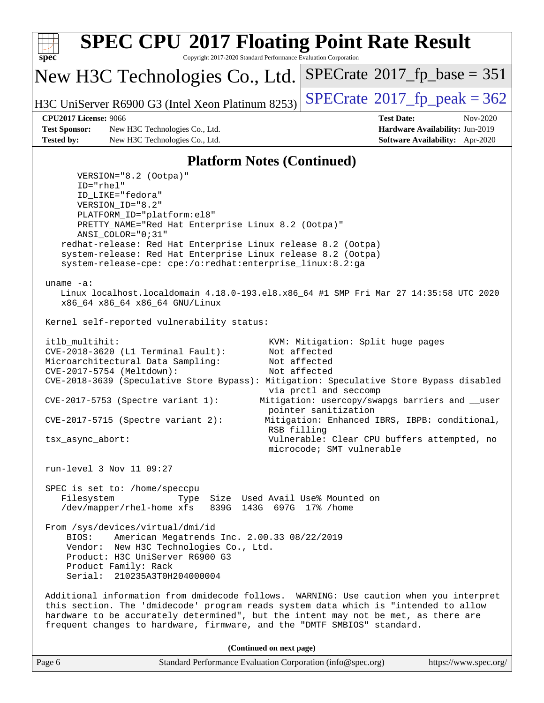

| Page 6 | Standard Performance Evaluation Corporation (info@spec.org) | https://www.spec.org/ |
|--------|-------------------------------------------------------------|-----------------------|
|        |                                                             |                       |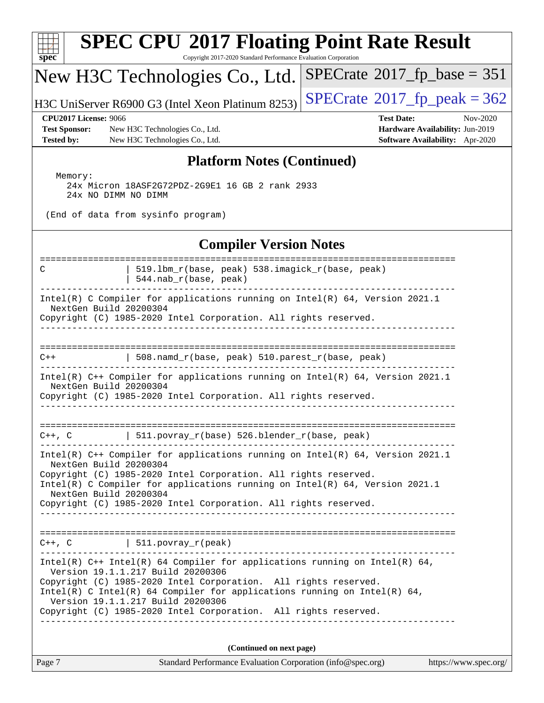| <b>SPEC CPU®2017 Floating Point Rate Result</b><br>Copyright 2017-2020 Standard Performance Evaluation Corporation<br>spec <sup>®</sup>                                                                                                                                                                                                                     |                                                                                                     |  |  |  |  |
|-------------------------------------------------------------------------------------------------------------------------------------------------------------------------------------------------------------------------------------------------------------------------------------------------------------------------------------------------------------|-----------------------------------------------------------------------------------------------------|--|--|--|--|
| New H3C Technologies Co., Ltd.                                                                                                                                                                                                                                                                                                                              | $SPECrate^{\circ}2017$ fp base = 351                                                                |  |  |  |  |
| H3C UniServer R6900 G3 (Intel Xeon Platinum 8253)                                                                                                                                                                                                                                                                                                           | $SPECrate^{\circ}2017$ _fp_peak = 362                                                               |  |  |  |  |
| <b>CPU2017 License: 9066</b><br><b>Test Sponsor:</b><br>New H3C Technologies Co., Ltd.<br><b>Tested by:</b><br>New H3C Technologies Co., Ltd.                                                                                                                                                                                                               | <b>Test Date:</b><br>Nov-2020<br>Hardware Availability: Jun-2019<br>Software Availability: Apr-2020 |  |  |  |  |
| <b>Platform Notes (Continued)</b>                                                                                                                                                                                                                                                                                                                           |                                                                                                     |  |  |  |  |
| Memory:<br>24x Micron 18ASF2G72PDZ-2G9E1 16 GB 2 rank 2933<br>24x NO DIMM NO DIMM<br>(End of data from sysinfo program)                                                                                                                                                                                                                                     |                                                                                                     |  |  |  |  |
| <b>Compiler Version Notes</b>                                                                                                                                                                                                                                                                                                                               |                                                                                                     |  |  |  |  |
| ------------------<br>519.1bm_r(base, peak) 538.imagick_r(base, peak)<br>C<br>544.nab_r(base, peak)                                                                                                                                                                                                                                                         | -------------------------------                                                                     |  |  |  |  |
| Intel(R) C Compiler for applications running on Intel(R) $64$ , Version 2021.1<br>NextGen Build 20200304<br>Copyright (C) 1985-2020 Intel Corporation. All rights reserved.                                                                                                                                                                                 |                                                                                                     |  |  |  |  |
| 508.namd_r(base, peak) 510.parest_r(base, peak)<br>$C++$                                                                                                                                                                                                                                                                                                    |                                                                                                     |  |  |  |  |
| Intel(R) C++ Compiler for applications running on Intel(R) 64, Version 2021.1<br>NextGen Build 20200304<br>Copyright (C) 1985-2020 Intel Corporation. All rights reserved.                                                                                                                                                                                  |                                                                                                     |  |  |  |  |
| $C++$ , C $\qquad \qquad$ 511.povray_r(base) 526.blender_r(base, peak)                                                                                                                                                                                                                                                                                      |                                                                                                     |  |  |  |  |
| Intel(R) $C++$ Compiler for applications running on Intel(R) 64, Version 2021.1<br>NextGen Build 20200304<br>Copyright (C) 1985-2020 Intel Corporation. All rights reserved.<br>Intel(R) C Compiler for applications running on $Intel(R) 64$ , Version 2021.1<br>NextGen Build 20200304<br>Copyright (C) 1985-2020 Intel Corporation. All rights reserved. |                                                                                                     |  |  |  |  |
| $C++$ , $C$   511.povray_r(peak)<br>Intel(R) $C++$ Intel(R) 64 Compiler for applications running on Intel(R) 64,                                                                                                                                                                                                                                            |                                                                                                     |  |  |  |  |
| Version 19.1.1.217 Build 20200306<br>Copyright (C) 1985-2020 Intel Corporation. All rights reserved.<br>Intel(R) C Intel(R) 64 Compiler for applications running on Intel(R) 64,<br>Version 19.1.1.217 Build 20200306<br>Copyright (C) 1985-2020 Intel Corporation. All rights reserved.                                                                    |                                                                                                     |  |  |  |  |
|                                                                                                                                                                                                                                                                                                                                                             |                                                                                                     |  |  |  |  |
| (Continued on next page)<br>Page 7<br>Standard Performance Evaluation Corporation (info@spec.org)                                                                                                                                                                                                                                                           | https://www.spec.org/                                                                               |  |  |  |  |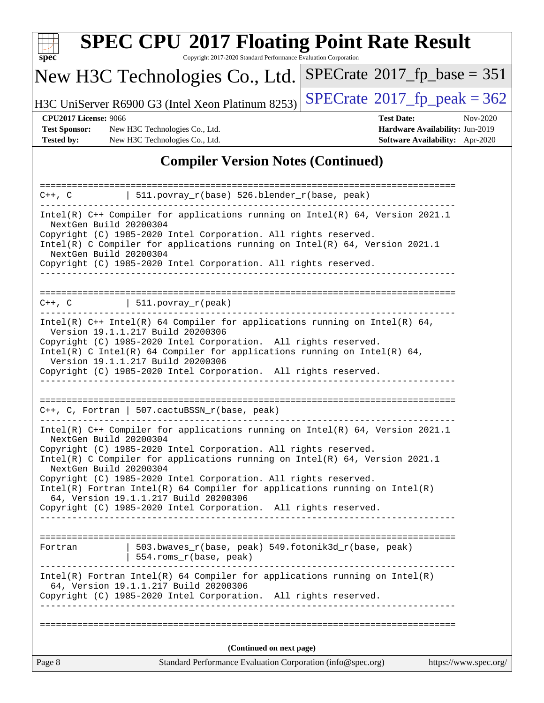| S | De | L. |  |
|---|----|----|--|

# **[SPEC CPU](http://www.spec.org/auto/cpu2017/Docs/result-fields.html#SPECCPU2017FloatingPointRateResult)[2017 Floating Point Rate Result](http://www.spec.org/auto/cpu2017/Docs/result-fields.html#SPECCPU2017FloatingPointRateResult)**

Copyright 2017-2020 Standard Performance Evaluation Corporation

## New H3C Technologies Co., Ltd.

H3C UniServer R6900 G3 (Intel Xeon Platinum 8253) [SPECrate](http://www.spec.org/auto/cpu2017/Docs/result-fields.html#SPECrate2017fppeak)®  $2017$  fp\_peak = 362

 $SPECTate@2017_fp\_base = 351$ 

**[Test Sponsor:](http://www.spec.org/auto/cpu2017/Docs/result-fields.html#TestSponsor)** New H3C Technologies Co., Ltd. **[Hardware Availability:](http://www.spec.org/auto/cpu2017/Docs/result-fields.html#HardwareAvailability)** Jun-2019 **[Tested by:](http://www.spec.org/auto/cpu2017/Docs/result-fields.html#Testedby)** New H3C Technologies Co., Ltd. **[Software Availability:](http://www.spec.org/auto/cpu2017/Docs/result-fields.html#SoftwareAvailability)** Apr-2020

**[CPU2017 License:](http://www.spec.org/auto/cpu2017/Docs/result-fields.html#CPU2017License)** 9066 **[Test Date:](http://www.spec.org/auto/cpu2017/Docs/result-fields.html#TestDate)** Nov-2020

## **[Compiler Version Notes \(Continued\)](http://www.spec.org/auto/cpu2017/Docs/result-fields.html#CompilerVersionNotes)**

| 511.povray_r(base) 526.blender_r(base, peak)<br>$C++$ , $C$                                                                                                                                                                                                                                                                                                                                                                                                                                                                                            |                       |  |  |  |  |  |  |
|--------------------------------------------------------------------------------------------------------------------------------------------------------------------------------------------------------------------------------------------------------------------------------------------------------------------------------------------------------------------------------------------------------------------------------------------------------------------------------------------------------------------------------------------------------|-----------------------|--|--|--|--|--|--|
| Intel(R) C++ Compiler for applications running on Intel(R) 64, Version 2021.1<br>NextGen Build 20200304<br>Copyright (C) 1985-2020 Intel Corporation. All rights reserved.<br>Intel(R) C Compiler for applications running on Intel(R) 64, Version 2021.1<br>NextGen Build 20200304                                                                                                                                                                                                                                                                    |                       |  |  |  |  |  |  |
| Copyright (C) 1985-2020 Intel Corporation. All rights reserved.                                                                                                                                                                                                                                                                                                                                                                                                                                                                                        |                       |  |  |  |  |  |  |
|                                                                                                                                                                                                                                                                                                                                                                                                                                                                                                                                                        |                       |  |  |  |  |  |  |
| $\vert$ 511.povray_r(peak)<br>$C++$ , $C$                                                                                                                                                                                                                                                                                                                                                                                                                                                                                                              |                       |  |  |  |  |  |  |
| Intel(R) $C++$ Intel(R) 64 Compiler for applications running on Intel(R) 64,<br>Version 19.1.1.217 Build 20200306<br>Copyright (C) 1985-2020 Intel Corporation. All rights reserved.<br>Intel(R) C Intel(R) 64 Compiler for applications running on Intel(R) 64,<br>Version 19.1.1.217 Build 20200306<br>Copyright (C) 1985-2020 Intel Corporation. All rights reserved.                                                                                                                                                                               |                       |  |  |  |  |  |  |
| $C++$ , C, Fortran   507.cactuBSSN_r(base, peak)                                                                                                                                                                                                                                                                                                                                                                                                                                                                                                       |                       |  |  |  |  |  |  |
| Intel(R) $C++$ Compiler for applications running on Intel(R) 64, Version 2021.1<br>NextGen Build 20200304<br>Copyright (C) 1985-2020 Intel Corporation. All rights reserved.<br>Intel(R) C Compiler for applications running on $Intel(R)$ 64, Version 2021.1<br>NextGen Build 20200304<br>Copyright (C) 1985-2020 Intel Corporation. All rights reserved.<br>$Intel(R)$ Fortran Intel(R) 64 Compiler for applications running on Intel(R)<br>64, Version 19.1.1.217 Build 20200306<br>Copyright (C) 1985-2020 Intel Corporation. All rights reserved. |                       |  |  |  |  |  |  |
| $503.bwaves_r(base, peak)$ 549.fotonik3d_r(base, peak)<br>Fortran<br>554.roms_r(base, peak)                                                                                                                                                                                                                                                                                                                                                                                                                                                            |                       |  |  |  |  |  |  |
| $Intel(R)$ Fortran Intel(R) 64 Compiler for applications running on Intel(R)<br>64, Version 19.1.1.217 Build 20200306<br>Copyright (C) 1985-2020 Intel Corporation. All rights reserved.                                                                                                                                                                                                                                                                                                                                                               |                       |  |  |  |  |  |  |
|                                                                                                                                                                                                                                                                                                                                                                                                                                                                                                                                                        |                       |  |  |  |  |  |  |
| (Continued on next page)<br>Standard Performance Evaluation Corporation (info@spec.org)<br>Page 8                                                                                                                                                                                                                                                                                                                                                                                                                                                      | https://www.spec.org/ |  |  |  |  |  |  |
|                                                                                                                                                                                                                                                                                                                                                                                                                                                                                                                                                        |                       |  |  |  |  |  |  |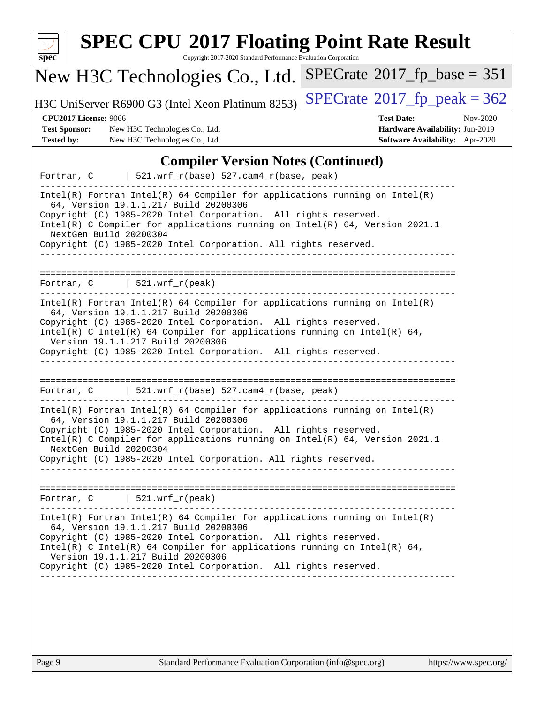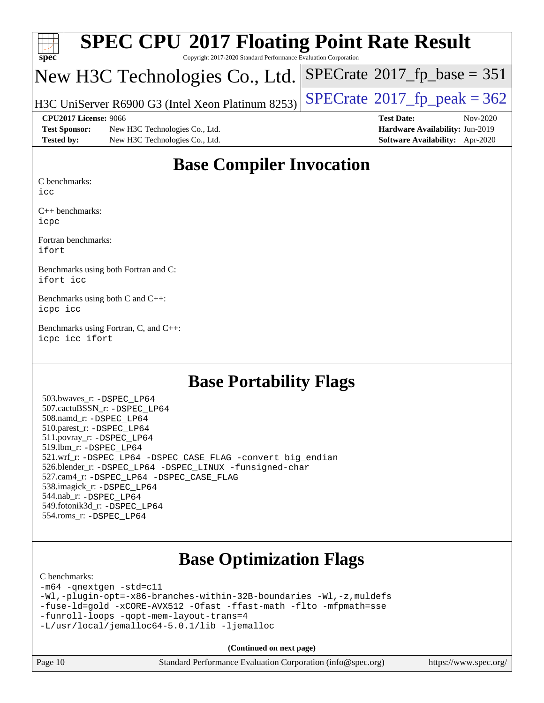| spec                 | <b>SPEC CPU®2017 Floating Point Rate Result</b><br>Copyright 2017-2020 Standard Performance Evaluation Corporation |                                              |
|----------------------|--------------------------------------------------------------------------------------------------------------------|----------------------------------------------|
|                      | New H3C Technologies Co., Ltd.                                                                                     | $SPECrate^{\circledcirc}2017_fp\_base = 351$ |
|                      | H3C UniServer R6900 G3 (Intel Xeon Platinum 8253)                                                                  | $SPECTate$ <sup>®</sup> 2017_fp_peak = 362   |
|                      | CPU2017 License: 9066                                                                                              | <b>Test Date:</b><br>$Nov-2020$              |
| <b>Test Sponsor:</b> | New H3C Technologies Co., Ltd.                                                                                     | Hardware Availability: Jun-2019              |
| <b>Tested by:</b>    | New H3C Technologies Co., Ltd.                                                                                     | Software Availability: Apr-2020              |

## **[Base Compiler Invocation](http://www.spec.org/auto/cpu2017/Docs/result-fields.html#BaseCompilerInvocation)**

[C benchmarks:](http://www.spec.org/auto/cpu2017/Docs/result-fields.html#Cbenchmarks)

[icc](http://www.spec.org/cpu2017/results/res2020q4/cpu2017-20201116-24390.flags.html#user_CCbase_intel_icc_66fc1ee009f7361af1fbd72ca7dcefbb700085f36577c54f309893dd4ec40d12360134090235512931783d35fd58c0460139e722d5067c5574d8eaf2b3e37e92)

[C++ benchmarks:](http://www.spec.org/auto/cpu2017/Docs/result-fields.html#CXXbenchmarks) [icpc](http://www.spec.org/cpu2017/results/res2020q4/cpu2017-20201116-24390.flags.html#user_CXXbase_intel_icpc_c510b6838c7f56d33e37e94d029a35b4a7bccf4766a728ee175e80a419847e808290a9b78be685c44ab727ea267ec2f070ec5dc83b407c0218cded6866a35d07)

[Fortran benchmarks](http://www.spec.org/auto/cpu2017/Docs/result-fields.html#Fortranbenchmarks): [ifort](http://www.spec.org/cpu2017/results/res2020q4/cpu2017-20201116-24390.flags.html#user_FCbase_intel_ifort_8111460550e3ca792625aed983ce982f94888b8b503583aa7ba2b8303487b4d8a21a13e7191a45c5fd58ff318f48f9492884d4413fa793fd88dd292cad7027ca)

[Benchmarks using both Fortran and C:](http://www.spec.org/auto/cpu2017/Docs/result-fields.html#BenchmarksusingbothFortranandC) [ifort](http://www.spec.org/cpu2017/results/res2020q4/cpu2017-20201116-24390.flags.html#user_CC_FCbase_intel_ifort_8111460550e3ca792625aed983ce982f94888b8b503583aa7ba2b8303487b4d8a21a13e7191a45c5fd58ff318f48f9492884d4413fa793fd88dd292cad7027ca) [icc](http://www.spec.org/cpu2017/results/res2020q4/cpu2017-20201116-24390.flags.html#user_CC_FCbase_intel_icc_66fc1ee009f7361af1fbd72ca7dcefbb700085f36577c54f309893dd4ec40d12360134090235512931783d35fd58c0460139e722d5067c5574d8eaf2b3e37e92)

[Benchmarks using both C and C++](http://www.spec.org/auto/cpu2017/Docs/result-fields.html#BenchmarksusingbothCandCXX): [icpc](http://www.spec.org/cpu2017/results/res2020q4/cpu2017-20201116-24390.flags.html#user_CC_CXXbase_intel_icpc_c510b6838c7f56d33e37e94d029a35b4a7bccf4766a728ee175e80a419847e808290a9b78be685c44ab727ea267ec2f070ec5dc83b407c0218cded6866a35d07) [icc](http://www.spec.org/cpu2017/results/res2020q4/cpu2017-20201116-24390.flags.html#user_CC_CXXbase_intel_icc_66fc1ee009f7361af1fbd72ca7dcefbb700085f36577c54f309893dd4ec40d12360134090235512931783d35fd58c0460139e722d5067c5574d8eaf2b3e37e92)

[Benchmarks using Fortran, C, and C++:](http://www.spec.org/auto/cpu2017/Docs/result-fields.html#BenchmarksusingFortranCandCXX) [icpc](http://www.spec.org/cpu2017/results/res2020q4/cpu2017-20201116-24390.flags.html#user_CC_CXX_FCbase_intel_icpc_c510b6838c7f56d33e37e94d029a35b4a7bccf4766a728ee175e80a419847e808290a9b78be685c44ab727ea267ec2f070ec5dc83b407c0218cded6866a35d07) [icc](http://www.spec.org/cpu2017/results/res2020q4/cpu2017-20201116-24390.flags.html#user_CC_CXX_FCbase_intel_icc_66fc1ee009f7361af1fbd72ca7dcefbb700085f36577c54f309893dd4ec40d12360134090235512931783d35fd58c0460139e722d5067c5574d8eaf2b3e37e92) [ifort](http://www.spec.org/cpu2017/results/res2020q4/cpu2017-20201116-24390.flags.html#user_CC_CXX_FCbase_intel_ifort_8111460550e3ca792625aed983ce982f94888b8b503583aa7ba2b8303487b4d8a21a13e7191a45c5fd58ff318f48f9492884d4413fa793fd88dd292cad7027ca)

## **[Base Portability Flags](http://www.spec.org/auto/cpu2017/Docs/result-fields.html#BasePortabilityFlags)**

 503.bwaves\_r: [-DSPEC\\_LP64](http://www.spec.org/cpu2017/results/res2020q4/cpu2017-20201116-24390.flags.html#suite_basePORTABILITY503_bwaves_r_DSPEC_LP64) 507.cactuBSSN\_r: [-DSPEC\\_LP64](http://www.spec.org/cpu2017/results/res2020q4/cpu2017-20201116-24390.flags.html#suite_basePORTABILITY507_cactuBSSN_r_DSPEC_LP64) 508.namd\_r: [-DSPEC\\_LP64](http://www.spec.org/cpu2017/results/res2020q4/cpu2017-20201116-24390.flags.html#suite_basePORTABILITY508_namd_r_DSPEC_LP64) 510.parest\_r: [-DSPEC\\_LP64](http://www.spec.org/cpu2017/results/res2020q4/cpu2017-20201116-24390.flags.html#suite_basePORTABILITY510_parest_r_DSPEC_LP64) 511.povray\_r: [-DSPEC\\_LP64](http://www.spec.org/cpu2017/results/res2020q4/cpu2017-20201116-24390.flags.html#suite_basePORTABILITY511_povray_r_DSPEC_LP64) 519.lbm\_r: [-DSPEC\\_LP64](http://www.spec.org/cpu2017/results/res2020q4/cpu2017-20201116-24390.flags.html#suite_basePORTABILITY519_lbm_r_DSPEC_LP64) 521.wrf\_r: [-DSPEC\\_LP64](http://www.spec.org/cpu2017/results/res2020q4/cpu2017-20201116-24390.flags.html#suite_basePORTABILITY521_wrf_r_DSPEC_LP64) [-DSPEC\\_CASE\\_FLAG](http://www.spec.org/cpu2017/results/res2020q4/cpu2017-20201116-24390.flags.html#b521.wrf_r_baseCPORTABILITY_DSPEC_CASE_FLAG) [-convert big\\_endian](http://www.spec.org/cpu2017/results/res2020q4/cpu2017-20201116-24390.flags.html#user_baseFPORTABILITY521_wrf_r_convert_big_endian_c3194028bc08c63ac5d04de18c48ce6d347e4e562e8892b8bdbdc0214820426deb8554edfa529a3fb25a586e65a3d812c835984020483e7e73212c4d31a38223) 526.blender\_r: [-DSPEC\\_LP64](http://www.spec.org/cpu2017/results/res2020q4/cpu2017-20201116-24390.flags.html#suite_basePORTABILITY526_blender_r_DSPEC_LP64) [-DSPEC\\_LINUX](http://www.spec.org/cpu2017/results/res2020q4/cpu2017-20201116-24390.flags.html#b526.blender_r_baseCPORTABILITY_DSPEC_LINUX) [-funsigned-char](http://www.spec.org/cpu2017/results/res2020q4/cpu2017-20201116-24390.flags.html#user_baseCPORTABILITY526_blender_r_force_uchar_40c60f00ab013830e2dd6774aeded3ff59883ba5a1fc5fc14077f794d777847726e2a5858cbc7672e36e1b067e7e5c1d9a74f7176df07886a243d7cc18edfe67) 527.cam4\_r: [-DSPEC\\_LP64](http://www.spec.org/cpu2017/results/res2020q4/cpu2017-20201116-24390.flags.html#suite_basePORTABILITY527_cam4_r_DSPEC_LP64) [-DSPEC\\_CASE\\_FLAG](http://www.spec.org/cpu2017/results/res2020q4/cpu2017-20201116-24390.flags.html#b527.cam4_r_baseCPORTABILITY_DSPEC_CASE_FLAG) 538.imagick\_r: [-DSPEC\\_LP64](http://www.spec.org/cpu2017/results/res2020q4/cpu2017-20201116-24390.flags.html#suite_basePORTABILITY538_imagick_r_DSPEC_LP64) 544.nab\_r: [-DSPEC\\_LP64](http://www.spec.org/cpu2017/results/res2020q4/cpu2017-20201116-24390.flags.html#suite_basePORTABILITY544_nab_r_DSPEC_LP64) 549.fotonik3d\_r: [-DSPEC\\_LP64](http://www.spec.org/cpu2017/results/res2020q4/cpu2017-20201116-24390.flags.html#suite_basePORTABILITY549_fotonik3d_r_DSPEC_LP64) 554.roms\_r: [-DSPEC\\_LP64](http://www.spec.org/cpu2017/results/res2020q4/cpu2017-20201116-24390.flags.html#suite_basePORTABILITY554_roms_r_DSPEC_LP64)

## **[Base Optimization Flags](http://www.spec.org/auto/cpu2017/Docs/result-fields.html#BaseOptimizationFlags)**

### [C benchmarks](http://www.spec.org/auto/cpu2017/Docs/result-fields.html#Cbenchmarks):

[-m64](http://www.spec.org/cpu2017/results/res2020q4/cpu2017-20201116-24390.flags.html#user_CCbase_m64-icc) [-qnextgen](http://www.spec.org/cpu2017/results/res2020q4/cpu2017-20201116-24390.flags.html#user_CCbase_f-qnextgen) [-std=c11](http://www.spec.org/cpu2017/results/res2020q4/cpu2017-20201116-24390.flags.html#user_CCbase_std-icc-std_0e1c27790398a4642dfca32ffe6c27b5796f9c2d2676156f2e42c9c44eaad0c049b1cdb667a270c34d979996257aeb8fc440bfb01818dbc9357bd9d174cb8524) [-Wl,-plugin-opt=-x86-branches-within-32B-boundaries](http://www.spec.org/cpu2017/results/res2020q4/cpu2017-20201116-24390.flags.html#user_CCbase_f-x86-branches-within-32B-boundaries_0098b4e4317ae60947b7b728078a624952a08ac37a3c797dfb4ffeb399e0c61a9dd0f2f44ce917e9361fb9076ccb15e7824594512dd315205382d84209e912f3) [-Wl,-z,muldefs](http://www.spec.org/cpu2017/results/res2020q4/cpu2017-20201116-24390.flags.html#user_CCbase_link_force_multiple1_b4cbdb97b34bdee9ceefcfe54f4c8ea74255f0b02a4b23e853cdb0e18eb4525ac79b5a88067c842dd0ee6996c24547a27a4b99331201badda8798ef8a743f577) [-fuse-ld=gold](http://www.spec.org/cpu2017/results/res2020q4/cpu2017-20201116-24390.flags.html#user_CCbase_f-fuse-ld_920b3586e2b8c6e0748b9c84fa9b744736ba725a32cab14ad8f3d4ad28eecb2f59d1144823d2e17006539a88734fe1fc08fc3035f7676166309105a78aaabc32) [-xCORE-AVX512](http://www.spec.org/cpu2017/results/res2020q4/cpu2017-20201116-24390.flags.html#user_CCbase_f-xCORE-AVX512) [-Ofast](http://www.spec.org/cpu2017/results/res2020q4/cpu2017-20201116-24390.flags.html#user_CCbase_f-Ofast) [-ffast-math](http://www.spec.org/cpu2017/results/res2020q4/cpu2017-20201116-24390.flags.html#user_CCbase_f-ffast-math) [-flto](http://www.spec.org/cpu2017/results/res2020q4/cpu2017-20201116-24390.flags.html#user_CCbase_f-flto) [-mfpmath=sse](http://www.spec.org/cpu2017/results/res2020q4/cpu2017-20201116-24390.flags.html#user_CCbase_f-mfpmath_70eb8fac26bde974f8ab713bc9086c5621c0b8d2f6c86f38af0bd7062540daf19db5f3a066d8c6684be05d84c9b6322eb3b5be6619d967835195b93d6c02afa1) [-funroll-loops](http://www.spec.org/cpu2017/results/res2020q4/cpu2017-20201116-24390.flags.html#user_CCbase_f-funroll-loops) [-qopt-mem-layout-trans=4](http://www.spec.org/cpu2017/results/res2020q4/cpu2017-20201116-24390.flags.html#user_CCbase_f-qopt-mem-layout-trans_fa39e755916c150a61361b7846f310bcdf6f04e385ef281cadf3647acec3f0ae266d1a1d22d972a7087a248fd4e6ca390a3634700869573d231a252c784941a8) [-L/usr/local/jemalloc64-5.0.1/lib](http://www.spec.org/cpu2017/results/res2020q4/cpu2017-20201116-24390.flags.html#user_CCbase_jemalloc_link_path64_1_cc289568b1a6c0fd3b62c91b824c27fcb5af5e8098e6ad028160d21144ef1b8aef3170d2acf0bee98a8da324cfe4f67d0a3d0c4cc4673d993d694dc2a0df248b) [-ljemalloc](http://www.spec.org/cpu2017/results/res2020q4/cpu2017-20201116-24390.flags.html#user_CCbase_jemalloc_link_lib_d1249b907c500fa1c0672f44f562e3d0f79738ae9e3c4a9c376d49f265a04b9c99b167ecedbf6711b3085be911c67ff61f150a17b3472be731631ba4d0471706)

**(Continued on next page)**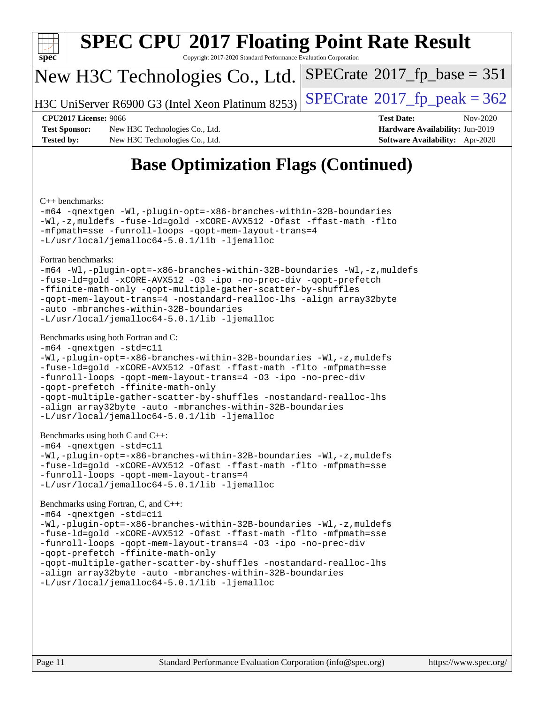

# **[SPEC CPU](http://www.spec.org/auto/cpu2017/Docs/result-fields.html#SPECCPU2017FloatingPointRateResult)[2017 Floating Point Rate Result](http://www.spec.org/auto/cpu2017/Docs/result-fields.html#SPECCPU2017FloatingPointRateResult)**

Copyright 2017-2020 Standard Performance Evaluation Corporation

## New H3C Technologies Co., Ltd.

H3C UniServer R6900 G3 (Intel Xeon Platinum  $8253$ ) [SPECrate](http://www.spec.org/auto/cpu2017/Docs/result-fields.html#SPECrate2017fppeak)®[2017\\_fp\\_peak = 3](http://www.spec.org/auto/cpu2017/Docs/result-fields.html#SPECrate2017fppeak)62

 $SPECTate@2017_fp\_base = 351$ 

**[Test Sponsor:](http://www.spec.org/auto/cpu2017/Docs/result-fields.html#TestSponsor)** New H3C Technologies Co., Ltd. **[Hardware Availability:](http://www.spec.org/auto/cpu2017/Docs/result-fields.html#HardwareAvailability)** Jun-2019 **[Tested by:](http://www.spec.org/auto/cpu2017/Docs/result-fields.html#Testedby)** New H3C Technologies Co., Ltd. **[Software Availability:](http://www.spec.org/auto/cpu2017/Docs/result-fields.html#SoftwareAvailability)** Apr-2020

**[CPU2017 License:](http://www.spec.org/auto/cpu2017/Docs/result-fields.html#CPU2017License)** 9066 **[Test Date:](http://www.spec.org/auto/cpu2017/Docs/result-fields.html#TestDate)** Nov-2020

## **[Base Optimization Flags \(Continued\)](http://www.spec.org/auto/cpu2017/Docs/result-fields.html#BaseOptimizationFlags)**

[C++ benchmarks:](http://www.spec.org/auto/cpu2017/Docs/result-fields.html#CXXbenchmarks)

[-m64](http://www.spec.org/cpu2017/results/res2020q4/cpu2017-20201116-24390.flags.html#user_CXXbase_m64-icc) [-qnextgen](http://www.spec.org/cpu2017/results/res2020q4/cpu2017-20201116-24390.flags.html#user_CXXbase_f-qnextgen) [-Wl,-plugin-opt=-x86-branches-within-32B-boundaries](http://www.spec.org/cpu2017/results/res2020q4/cpu2017-20201116-24390.flags.html#user_CXXbase_f-x86-branches-within-32B-boundaries_0098b4e4317ae60947b7b728078a624952a08ac37a3c797dfb4ffeb399e0c61a9dd0f2f44ce917e9361fb9076ccb15e7824594512dd315205382d84209e912f3) [-Wl,-z,muldefs](http://www.spec.org/cpu2017/results/res2020q4/cpu2017-20201116-24390.flags.html#user_CXXbase_link_force_multiple1_b4cbdb97b34bdee9ceefcfe54f4c8ea74255f0b02a4b23e853cdb0e18eb4525ac79b5a88067c842dd0ee6996c24547a27a4b99331201badda8798ef8a743f577) [-fuse-ld=gold](http://www.spec.org/cpu2017/results/res2020q4/cpu2017-20201116-24390.flags.html#user_CXXbase_f-fuse-ld_920b3586e2b8c6e0748b9c84fa9b744736ba725a32cab14ad8f3d4ad28eecb2f59d1144823d2e17006539a88734fe1fc08fc3035f7676166309105a78aaabc32) [-xCORE-AVX512](http://www.spec.org/cpu2017/results/res2020q4/cpu2017-20201116-24390.flags.html#user_CXXbase_f-xCORE-AVX512) [-Ofast](http://www.spec.org/cpu2017/results/res2020q4/cpu2017-20201116-24390.flags.html#user_CXXbase_f-Ofast) [-ffast-math](http://www.spec.org/cpu2017/results/res2020q4/cpu2017-20201116-24390.flags.html#user_CXXbase_f-ffast-math) [-flto](http://www.spec.org/cpu2017/results/res2020q4/cpu2017-20201116-24390.flags.html#user_CXXbase_f-flto) [-mfpmath=sse](http://www.spec.org/cpu2017/results/res2020q4/cpu2017-20201116-24390.flags.html#user_CXXbase_f-mfpmath_70eb8fac26bde974f8ab713bc9086c5621c0b8d2f6c86f38af0bd7062540daf19db5f3a066d8c6684be05d84c9b6322eb3b5be6619d967835195b93d6c02afa1) [-funroll-loops](http://www.spec.org/cpu2017/results/res2020q4/cpu2017-20201116-24390.flags.html#user_CXXbase_f-funroll-loops) [-qopt-mem-layout-trans=4](http://www.spec.org/cpu2017/results/res2020q4/cpu2017-20201116-24390.flags.html#user_CXXbase_f-qopt-mem-layout-trans_fa39e755916c150a61361b7846f310bcdf6f04e385ef281cadf3647acec3f0ae266d1a1d22d972a7087a248fd4e6ca390a3634700869573d231a252c784941a8) [-L/usr/local/jemalloc64-5.0.1/lib](http://www.spec.org/cpu2017/results/res2020q4/cpu2017-20201116-24390.flags.html#user_CXXbase_jemalloc_link_path64_1_cc289568b1a6c0fd3b62c91b824c27fcb5af5e8098e6ad028160d21144ef1b8aef3170d2acf0bee98a8da324cfe4f67d0a3d0c4cc4673d993d694dc2a0df248b) [-ljemalloc](http://www.spec.org/cpu2017/results/res2020q4/cpu2017-20201116-24390.flags.html#user_CXXbase_jemalloc_link_lib_d1249b907c500fa1c0672f44f562e3d0f79738ae9e3c4a9c376d49f265a04b9c99b167ecedbf6711b3085be911c67ff61f150a17b3472be731631ba4d0471706)

[Fortran benchmarks](http://www.spec.org/auto/cpu2017/Docs/result-fields.html#Fortranbenchmarks):

```
-m64 -Wl,-plugin-opt=-x86-branches-within-32B-boundaries -Wl,-z,muldefs
-fuse-ld=gold -xCORE-AVX512 -O3 -ipo -no-prec-div -qopt-prefetch
-ffinite-math-only -qopt-multiple-gather-scatter-by-shuffles
-qopt-mem-layout-trans=4 -nostandard-realloc-lhs -align array32byte
-auto -mbranches-within-32B-boundaries
-L/usr/local/jemalloc64-5.0.1/lib -ljemalloc
```
### [Benchmarks using both Fortran and C](http://www.spec.org/auto/cpu2017/Docs/result-fields.html#BenchmarksusingbothFortranandC):

```
-m64 -qnextgen -std=c11
-Wl,-plugin-opt=-x86-branches-within-32B-boundaries -Wl,-z,muldefs
-fuse-ld=gold -xCORE-AVX512 -Ofast -ffast-math -flto -mfpmath=sse
-funroll-loops -qopt-mem-layout-trans=4 -O3 -ipo -no-prec-div
-qopt-prefetch -ffinite-math-only
-qopt-multiple-gather-scatter-by-shuffles -nostandard-realloc-lhs
-align array32byte -auto -mbranches-within-32B-boundaries
-L/usr/local/jemalloc64-5.0.1/lib -ljemalloc
```

```
Benchmarks using both C and C++:
```

```
-m64 -qnextgen -std=c11
```

```
-Wl,-plugin-opt=-x86-branches-within-32B-boundaries -Wl,-z,muldefs
-fuse-ld=gold -xCORE-AVX512 -Ofast -ffast-math -flto -mfpmath=sse
-funroll-loops -qopt-mem-layout-trans=4
-L/usr/local/jemalloc64-5.0.1/lib -ljemalloc
```
[Benchmarks using Fortran, C, and C++:](http://www.spec.org/auto/cpu2017/Docs/result-fields.html#BenchmarksusingFortranCandCXX)

```
-m64 -qnextgen -std=c11
-Wl,-plugin-opt=-x86-branches-within-32B-boundaries -Wl,-z,muldefs
-fuse-ld=gold -xCORE-AVX512 -Ofast -ffast-math -flto -mfpmath=sse
-funroll-loops -qopt-mem-layout-trans=4 -O3 -ipo -no-prec-div
-qopt-prefetch -ffinite-math-only
-qopt-multiple-gather-scatter-by-shuffles -nostandard-realloc-lhs
-align array32byte -auto -mbranches-within-32B-boundaries
-L/usr/local/jemalloc64-5.0.1/lib -ljemalloc
```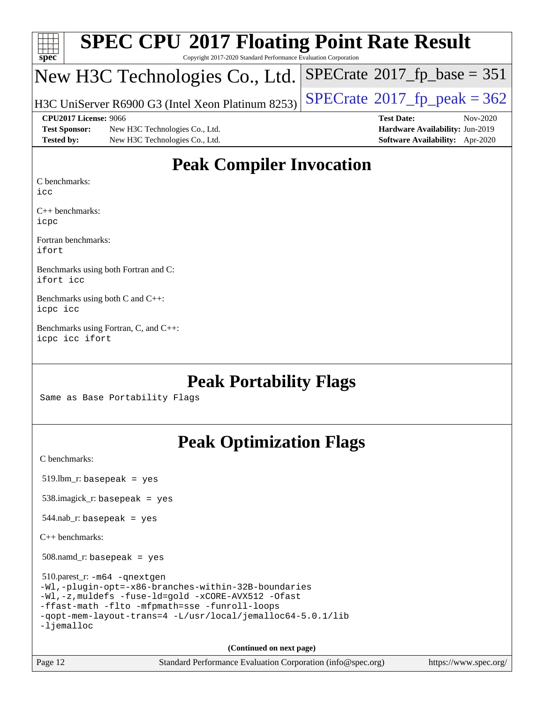| $Spec^*$             | <b>SPEC CPU®2017 Floating Point Rate Result</b><br>Copyright 2017-2020 Standard Performance Evaluation Corporation |                                        |
|----------------------|--------------------------------------------------------------------------------------------------------------------|----------------------------------------|
|                      | New H3C Technologies Co., Ltd.                                                                                     | $SPECrate^{\circ}2017$ _fp_base = 351  |
|                      | H3C UniServer R6900 G3 (Intel Xeon Platinum 8253)                                                                  | $SPECrate^{\circ}2017_fpp_eak = 362$   |
|                      | CPU <sub>2017</sub> License: 9066                                                                                  | <b>Test Date:</b><br>Nov-2020          |
| <b>Test Sponsor:</b> | New H3C Technologies Co., Ltd.                                                                                     | Hardware Availability: Jun-2019        |
| <b>Tested by:</b>    | New H3C Technologies Co., Ltd.                                                                                     | <b>Software Availability:</b> Apr-2020 |

## **[Peak Compiler Invocation](http://www.spec.org/auto/cpu2017/Docs/result-fields.html#PeakCompilerInvocation)**

[C benchmarks:](http://www.spec.org/auto/cpu2017/Docs/result-fields.html#Cbenchmarks)

[icc](http://www.spec.org/cpu2017/results/res2020q4/cpu2017-20201116-24390.flags.html#user_CCpeak_intel_icc_66fc1ee009f7361af1fbd72ca7dcefbb700085f36577c54f309893dd4ec40d12360134090235512931783d35fd58c0460139e722d5067c5574d8eaf2b3e37e92)

[C++ benchmarks](http://www.spec.org/auto/cpu2017/Docs/result-fields.html#CXXbenchmarks): [icpc](http://www.spec.org/cpu2017/results/res2020q4/cpu2017-20201116-24390.flags.html#user_CXXpeak_intel_icpc_c510b6838c7f56d33e37e94d029a35b4a7bccf4766a728ee175e80a419847e808290a9b78be685c44ab727ea267ec2f070ec5dc83b407c0218cded6866a35d07)

[Fortran benchmarks:](http://www.spec.org/auto/cpu2017/Docs/result-fields.html#Fortranbenchmarks) [ifort](http://www.spec.org/cpu2017/results/res2020q4/cpu2017-20201116-24390.flags.html#user_FCpeak_intel_ifort_8111460550e3ca792625aed983ce982f94888b8b503583aa7ba2b8303487b4d8a21a13e7191a45c5fd58ff318f48f9492884d4413fa793fd88dd292cad7027ca)

[Benchmarks using both Fortran and C:](http://www.spec.org/auto/cpu2017/Docs/result-fields.html#BenchmarksusingbothFortranandC) [ifort](http://www.spec.org/cpu2017/results/res2020q4/cpu2017-20201116-24390.flags.html#user_CC_FCpeak_intel_ifort_8111460550e3ca792625aed983ce982f94888b8b503583aa7ba2b8303487b4d8a21a13e7191a45c5fd58ff318f48f9492884d4413fa793fd88dd292cad7027ca) [icc](http://www.spec.org/cpu2017/results/res2020q4/cpu2017-20201116-24390.flags.html#user_CC_FCpeak_intel_icc_66fc1ee009f7361af1fbd72ca7dcefbb700085f36577c54f309893dd4ec40d12360134090235512931783d35fd58c0460139e722d5067c5574d8eaf2b3e37e92)

[Benchmarks using both C and C++](http://www.spec.org/auto/cpu2017/Docs/result-fields.html#BenchmarksusingbothCandCXX): [icpc](http://www.spec.org/cpu2017/results/res2020q4/cpu2017-20201116-24390.flags.html#user_CC_CXXpeak_intel_icpc_c510b6838c7f56d33e37e94d029a35b4a7bccf4766a728ee175e80a419847e808290a9b78be685c44ab727ea267ec2f070ec5dc83b407c0218cded6866a35d07) [icc](http://www.spec.org/cpu2017/results/res2020q4/cpu2017-20201116-24390.flags.html#user_CC_CXXpeak_intel_icc_66fc1ee009f7361af1fbd72ca7dcefbb700085f36577c54f309893dd4ec40d12360134090235512931783d35fd58c0460139e722d5067c5574d8eaf2b3e37e92)

[Benchmarks using Fortran, C, and C++:](http://www.spec.org/auto/cpu2017/Docs/result-fields.html#BenchmarksusingFortranCandCXX) [icpc](http://www.spec.org/cpu2017/results/res2020q4/cpu2017-20201116-24390.flags.html#user_CC_CXX_FCpeak_intel_icpc_c510b6838c7f56d33e37e94d029a35b4a7bccf4766a728ee175e80a419847e808290a9b78be685c44ab727ea267ec2f070ec5dc83b407c0218cded6866a35d07) [icc](http://www.spec.org/cpu2017/results/res2020q4/cpu2017-20201116-24390.flags.html#user_CC_CXX_FCpeak_intel_icc_66fc1ee009f7361af1fbd72ca7dcefbb700085f36577c54f309893dd4ec40d12360134090235512931783d35fd58c0460139e722d5067c5574d8eaf2b3e37e92) [ifort](http://www.spec.org/cpu2017/results/res2020q4/cpu2017-20201116-24390.flags.html#user_CC_CXX_FCpeak_intel_ifort_8111460550e3ca792625aed983ce982f94888b8b503583aa7ba2b8303487b4d8a21a13e7191a45c5fd58ff318f48f9492884d4413fa793fd88dd292cad7027ca)

## **[Peak Portability Flags](http://www.spec.org/auto/cpu2017/Docs/result-fields.html#PeakPortabilityFlags)**

Same as Base Portability Flags

## **[Peak Optimization Flags](http://www.spec.org/auto/cpu2017/Docs/result-fields.html#PeakOptimizationFlags)**

[C benchmarks](http://www.spec.org/auto/cpu2017/Docs/result-fields.html#Cbenchmarks):

519.lbm\_r: basepeak = yes

538.imagick\_r: basepeak = yes

 $544.nab$ <sub>r</sub>: basepeak = yes

[C++ benchmarks:](http://www.spec.org/auto/cpu2017/Docs/result-fields.html#CXXbenchmarks)

508.namd\_r: basepeak = yes

 510.parest\_r: [-m64](http://www.spec.org/cpu2017/results/res2020q4/cpu2017-20201116-24390.flags.html#user_peakCXXLD510_parest_r_m64-icc) [-qnextgen](http://www.spec.org/cpu2017/results/res2020q4/cpu2017-20201116-24390.flags.html#user_peakCXXLD510_parest_r_f-qnextgen) [-Wl,-plugin-opt=-x86-branches-within-32B-boundaries](http://www.spec.org/cpu2017/results/res2020q4/cpu2017-20201116-24390.flags.html#user_peakLDFLAGS510_parest_r_f-x86-branches-within-32B-boundaries_0098b4e4317ae60947b7b728078a624952a08ac37a3c797dfb4ffeb399e0c61a9dd0f2f44ce917e9361fb9076ccb15e7824594512dd315205382d84209e912f3) [-Wl,-z,muldefs](http://www.spec.org/cpu2017/results/res2020q4/cpu2017-20201116-24390.flags.html#user_peakEXTRA_LDFLAGS510_parest_r_link_force_multiple1_b4cbdb97b34bdee9ceefcfe54f4c8ea74255f0b02a4b23e853cdb0e18eb4525ac79b5a88067c842dd0ee6996c24547a27a4b99331201badda8798ef8a743f577) [-fuse-ld=gold](http://www.spec.org/cpu2017/results/res2020q4/cpu2017-20201116-24390.flags.html#user_peakEXTRA_LDFLAGS510_parest_r_f-fuse-ld_920b3586e2b8c6e0748b9c84fa9b744736ba725a32cab14ad8f3d4ad28eecb2f59d1144823d2e17006539a88734fe1fc08fc3035f7676166309105a78aaabc32) [-xCORE-AVX512](http://www.spec.org/cpu2017/results/res2020q4/cpu2017-20201116-24390.flags.html#user_peakCXXOPTIMIZE510_parest_r_f-xCORE-AVX512) [-Ofast](http://www.spec.org/cpu2017/results/res2020q4/cpu2017-20201116-24390.flags.html#user_peakCXXOPTIMIZE510_parest_r_f-Ofast) [-ffast-math](http://www.spec.org/cpu2017/results/res2020q4/cpu2017-20201116-24390.flags.html#user_peakCXXOPTIMIZE510_parest_r_f-ffast-math) [-flto](http://www.spec.org/cpu2017/results/res2020q4/cpu2017-20201116-24390.flags.html#user_peakCXXOPTIMIZE510_parest_r_f-flto) [-mfpmath=sse](http://www.spec.org/cpu2017/results/res2020q4/cpu2017-20201116-24390.flags.html#user_peakCXXOPTIMIZE510_parest_r_f-mfpmath_70eb8fac26bde974f8ab713bc9086c5621c0b8d2f6c86f38af0bd7062540daf19db5f3a066d8c6684be05d84c9b6322eb3b5be6619d967835195b93d6c02afa1) [-funroll-loops](http://www.spec.org/cpu2017/results/res2020q4/cpu2017-20201116-24390.flags.html#user_peakCXXOPTIMIZE510_parest_r_f-funroll-loops) [-qopt-mem-layout-trans=4](http://www.spec.org/cpu2017/results/res2020q4/cpu2017-20201116-24390.flags.html#user_peakCXXOPTIMIZE510_parest_r_f-qopt-mem-layout-trans_fa39e755916c150a61361b7846f310bcdf6f04e385ef281cadf3647acec3f0ae266d1a1d22d972a7087a248fd4e6ca390a3634700869573d231a252c784941a8) [-L/usr/local/jemalloc64-5.0.1/lib](http://www.spec.org/cpu2017/results/res2020q4/cpu2017-20201116-24390.flags.html#user_peakEXTRA_LIBS510_parest_r_jemalloc_link_path64_1_cc289568b1a6c0fd3b62c91b824c27fcb5af5e8098e6ad028160d21144ef1b8aef3170d2acf0bee98a8da324cfe4f67d0a3d0c4cc4673d993d694dc2a0df248b) [-ljemalloc](http://www.spec.org/cpu2017/results/res2020q4/cpu2017-20201116-24390.flags.html#user_peakEXTRA_LIBS510_parest_r_jemalloc_link_lib_d1249b907c500fa1c0672f44f562e3d0f79738ae9e3c4a9c376d49f265a04b9c99b167ecedbf6711b3085be911c67ff61f150a17b3472be731631ba4d0471706)

**(Continued on next page)**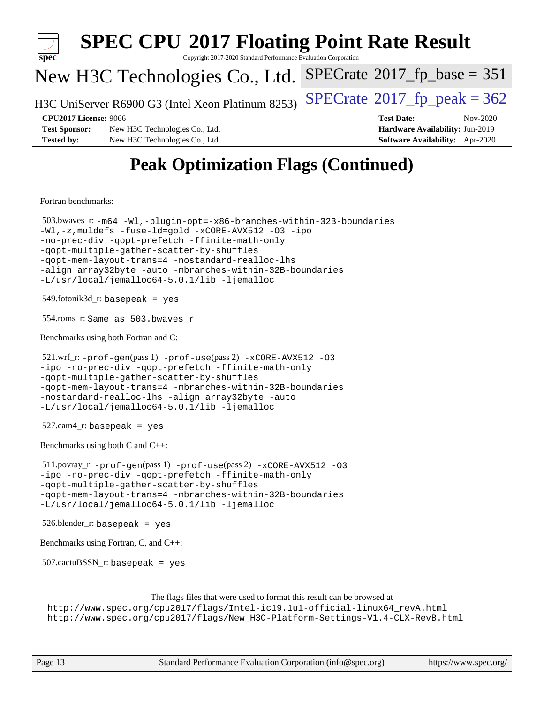| <b>SPEC CPU®2017 Floating Point Rate Result</b><br>Copyright 2017-2020 Standard Performance Evaluation Corporation<br>$spec^*$                                                                                                                                                                                                                                                                 |                                                                                                     |  |  |  |  |
|------------------------------------------------------------------------------------------------------------------------------------------------------------------------------------------------------------------------------------------------------------------------------------------------------------------------------------------------------------------------------------------------|-----------------------------------------------------------------------------------------------------|--|--|--|--|
| New H3C Technologies Co., Ltd.                                                                                                                                                                                                                                                                                                                                                                 | $SPECrate^{\circ}2017$ _fp_base = 351                                                               |  |  |  |  |
| H3C UniServer R6900 G3 (Intel Xeon Platinum 8253)                                                                                                                                                                                                                                                                                                                                              | $SPECTate$ <sup>®</sup> 2017_fp_peak = 362                                                          |  |  |  |  |
| <b>CPU2017 License: 9066</b><br><b>Test Sponsor:</b><br>New H3C Technologies Co., Ltd.<br><b>Tested by:</b><br>New H3C Technologies Co., Ltd.                                                                                                                                                                                                                                                  | <b>Test Date:</b><br>Nov-2020<br>Hardware Availability: Jun-2019<br>Software Availability: Apr-2020 |  |  |  |  |
| <b>Peak Optimization Flags (Continued)</b>                                                                                                                                                                                                                                                                                                                                                     |                                                                                                     |  |  |  |  |
| Fortran benchmarks:                                                                                                                                                                                                                                                                                                                                                                            |                                                                                                     |  |  |  |  |
| 503.bwaves_r: -m64 -Wl,-plugin-opt=-x86-branches-within-32B-boundaries<br>-Wl,-z, muldefs -fuse-ld=gold -xCORE-AVX512 -03 -ipo<br>-no-prec-div -qopt-prefetch -ffinite-math-only<br>-qopt-multiple-gather-scatter-by-shuffles<br>-qopt-mem-layout-trans=4 -nostandard-realloc-lhs<br>-align array32byte -auto -mbranches-within-32B-boundaries<br>-L/usr/local/jemalloc64-5.0.1/lib -ljemalloc |                                                                                                     |  |  |  |  |
| $549$ .fotonik $3d$ <sub>r</sub> : basepeak = yes                                                                                                                                                                                                                                                                                                                                              |                                                                                                     |  |  |  |  |
| 554.roms_r: Same as 503.bwaves_r                                                                                                                                                                                                                                                                                                                                                               |                                                                                                     |  |  |  |  |
| Benchmarks using both Fortran and C:                                                                                                                                                                                                                                                                                                                                                           |                                                                                                     |  |  |  |  |
| 521.wrf_r: -prof-gen(pass 1) -prof-use(pass 2) -xCORE-AVX512 -03<br>-ipo -no-prec-div -qopt-prefetch -ffinite-math-only<br>-qopt-multiple-qather-scatter-by-shuffles<br>-qopt-mem-layout-trans=4 -mbranches-within-32B-boundaries<br>-nostandard-realloc-lhs -align array32byte -auto<br>-L/usr/local/jemalloc64-5.0.1/lib -ljemalloc                                                          |                                                                                                     |  |  |  |  |
| $527.cam4_r$ : basepeak = yes                                                                                                                                                                                                                                                                                                                                                                  |                                                                                                     |  |  |  |  |
| Benchmarks using both C and C++:                                                                                                                                                                                                                                                                                                                                                               |                                                                                                     |  |  |  |  |
| 511.povray_r: -prof-gen(pass 1) -prof-use(pass 2) -xCORE-AVX512 -03<br>-ipo -no-prec-div -qopt-prefetch -ffinite-math-only<br>-qopt-multiple-gather-scatter-by-shuffles<br>-qopt-mem-layout-trans=4 -mbranches-within-32B-boundaries<br>-L/usr/local/jemalloc64-5.0.1/lib -ljemalloc                                                                                                           |                                                                                                     |  |  |  |  |
| $526.$ blender_r: basepeak = yes                                                                                                                                                                                                                                                                                                                                                               |                                                                                                     |  |  |  |  |
| Benchmarks using Fortran, C, and C++:                                                                                                                                                                                                                                                                                                                                                          |                                                                                                     |  |  |  |  |
| $507.cactuBSSN_r$ : basepeak = yes                                                                                                                                                                                                                                                                                                                                                             |                                                                                                     |  |  |  |  |
| The flags files that were used to format this result can be browsed at<br>http://www.spec.org/cpu2017/flags/Intel-ic19.1u1-official-linux64_revA.html<br>http://www.spec.org/cpu2017/flags/New_H3C-Platform-Settings-V1.4-CLX-RevB.html                                                                                                                                                        |                                                                                                     |  |  |  |  |